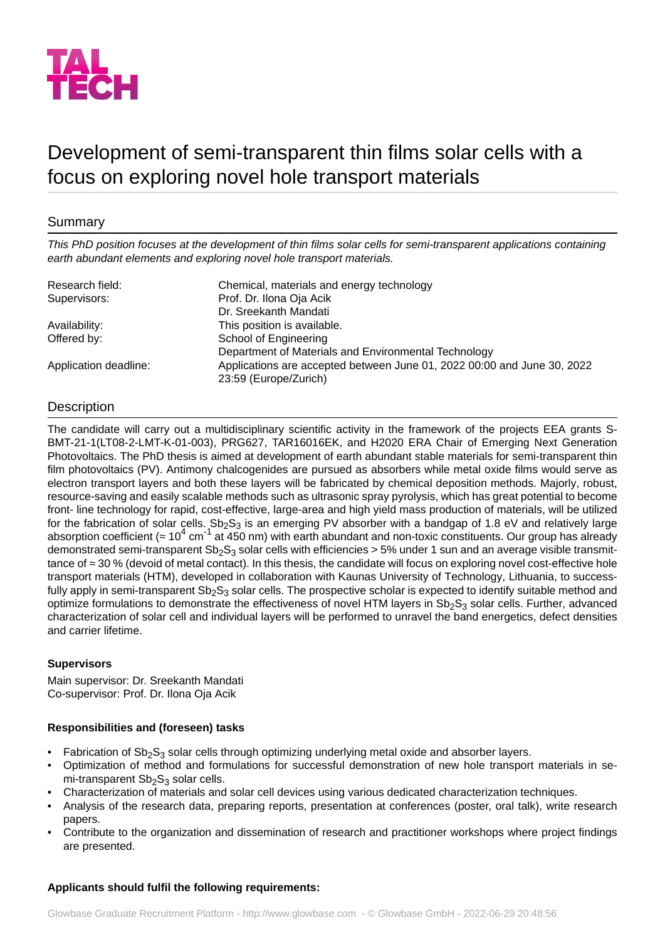

# Development of semi-transparent thin films solar cells with a focus on exploring novel hole transport materials

# Summary

*This PhD position focuses at the development of thin films solar cells for semi-transparent applications containing earth abundant elements and exploring novel hole transport materials.*

| Research field:       | Chemical, materials and energy technology                               |
|-----------------------|-------------------------------------------------------------------------|
| Supervisors:          | Prof. Dr. Ilona Oja Acik                                                |
|                       | Dr. Sreekanth Mandati                                                   |
| Availability:         | This position is available.                                             |
| Offered by:           | School of Engineering                                                   |
|                       | Department of Materials and Environmental Technology                    |
| Application deadline: | Applications are accepted between June 01, 2022 00:00 and June 30, 2022 |
|                       | 23:59 (Europe/Zurich)                                                   |

# **Description**

The candidate will carry out a multidisciplinary scientific activity in the framework of the projects EEA grants S-BMT-21-1(LT08-2-LMT-K-01-003), PRG627, TAR16016EK, and H2020 ERA Chair of Emerging Next Generation Photovoltaics. The PhD thesis is aimed at development of earth abundant stable materials for semi-transparent thin film photovoltaics (PV). Antimony chalcogenides are pursued as absorbers while metal oxide films would serve as electron transport layers and both these layers will be fabricated by chemical deposition methods. Majorly, robust, resource-saving and easily scalable methods such as ultrasonic spray pyrolysis, which has great potential to become front- line technology for rapid, cost-effective, large-area and high yield mass production of materials, will be utilized for the fabrication of solar cells.  $Sb_2S_3$  is an emerging PV absorber with a bandgap of 1.8 eV and relatively large absorption coefficient ( $\approx 10^4$  cm<sup>-1</sup> at 450 nm) with earth abundant and non-toxic constituents. Our group has already demonstrated semi-transparent Sb<sub>2</sub>S<sub>3</sub> solar cells with efficiencies > 5% under 1 sun and an average visible transmittance of ≈ 30 % (devoid of metal contact). In this thesis, the candidate will focus on exploring novel cost-effective hole transport materials (HTM), developed in collaboration with Kaunas University of Technology, Lithuania, to successfully apply in semi-transparent  $Sb_2S_3$  solar cells. The prospective scholar is expected to identify suitable method and optimize formulations to demonstrate the effectiveness of novel HTM layers in  $Sb_2S_3$  solar cells. Further, advanced characterization of solar cell and individual layers will be performed to unravel the band energetics, defect densities and carrier lifetime.

## **Supervisors**

Main supervisor: Dr. Sreekanth Mandati Co-supervisor: Prof. Dr. Ilona Oja Acik

## **Responsibilities and (foreseen) tasks**

- Fabrication of  $Sb_2S_3$  solar cells through optimizing underlying metal oxide and absorber layers.
- Optimization of method and formulations for successful demonstration of new hole transport materials in semi-transparent  $Sb<sub>2</sub>S<sub>3</sub>$  solar cells.
- Characterization of materials and solar cell devices using various dedicated characterization techniques.
- Analysis of the research data, preparing reports, presentation at conferences (poster, oral talk), write research papers.
- Contribute to the organization and dissemination of research and practitioner workshops where project findings are presented.

## **Applicants should fulfil the following requirements:**